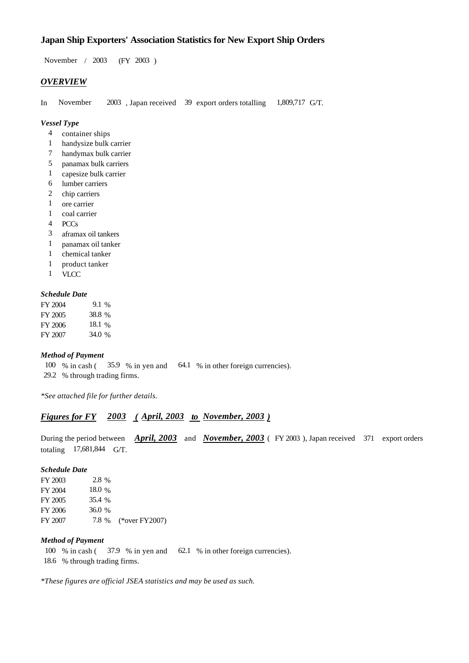## **Japan Ship Exporters' Association Statistics for New Export Ship Orders**

 $/ 2003$  (FY 2003) November / 2003

### *OVERVIEW*

In November 2003, Japan received 39 export orders totalling 1,809,717 G/T. 1,809,717 G/T.

#### *Vessel Type*

- container ships 4
- handysize bulk carrier 1
- handymax bulk carrier 7
- panamax bulk carriers 5
- capesize bulk carrier 1
- lumber carriers 6
- 2 chip carriers
- ore carrier 1
- coal carrier 1
- $PCCs$ 4
- aframax oil tankers 3
- panamax oil tanker 1
- chemical tanker 1
- product tanker 1
- VLCC 1

#### *Schedule Date*

| FY 2004 | 9.1 %  |
|---------|--------|
| FY 2005 | 38.8 % |
| FY 2006 | 18.1 % |
| FY 2007 | 34.0 % |

#### *Method of Payment*

100 % in cash (35.9 % in yen and 64.1 % in other foreign currencies). 29.2 % through trading firms.

*\*See attached file for further details.*

### *Figures for FY* 2003 (April, 2003 to November, 2003)

During the period between *April, 2003* and *November, 2003* (FY 2003), Japan received 371 export orders totaling  $17,681,844$  G/T.

#### *Schedule Date*

| FY 2003 | $2.8\%$  |                      |
|---------|----------|----------------------|
| FY 2004 | 18.0 $%$ |                      |
| FY 2005 | 35.4 %   |                      |
| FY 2006 | 36.0 $%$ |                      |
| FY 2007 |          | 7.8 % (*over FY2007) |

#### *Method of Payment*

- 100 % in cash (37.9 % in yen and 62.1 % in other foreign currencies).
- % through trading firms. 18.6

*\*These figures are official JSEA statistics and may be used as such.*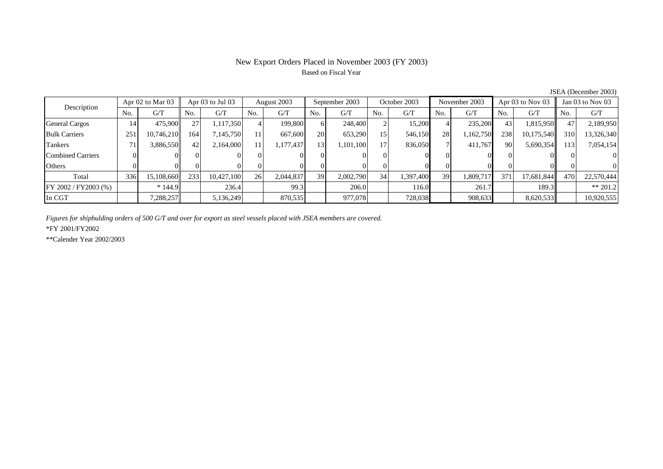## New Export Orders Placed in November 2003 (FY 2003) Based on Fiscal Year

| Description              |     | Apr $02$ to Mar $03$ | Apr $03$ to Jul $03$ |            | August 2003 |           | September 2003 |           | October 2003 |           | November 2003 |           | Apr $03$ to Nov $03$ |            | Jan 03 to Nov 03 |            |
|--------------------------|-----|----------------------|----------------------|------------|-------------|-----------|----------------|-----------|--------------|-----------|---------------|-----------|----------------------|------------|------------------|------------|
|                          | No. | G/T                  | No.                  | G/T        | No.         | G/T       | No.            | G/T       | No.          | G/T       | No.           | G/T       | No.                  | G/T        | No.              | G/T        |
| General Cargos           | 14  | 475,900              | 27                   | 1,117,350  |             | 199,800   | 6              | 248,400   |              | 15,200    |               | 235,200   | 43                   | 1,815,950  | 47               | 2,189,950  |
| <b>Bulk Carriers</b>     | 251 | 10,746,210           | 164                  | 7,145,750  |             | 667,600   | 20             | 653,290   | 15           | 546,150   | 28            | 1,162,750 | 238                  | 10,175,540 | 310              | 13,326,340 |
| Tankers                  | 71  | 3,886,550            | 42                   | 2,164,000  | 11          | .177,437  | 13             | 1,101,100 | 17           | 836,050   |               | 411,767   | 90                   | 5,690,354  | 131              | 7,054,154  |
| <b>Combined Carriers</b> |     |                      |                      |            | ΩI          |           |                |           |              |           |               |           |                      |            |                  | $\Omega$   |
| Others                   |     |                      |                      |            |             |           |                |           |              |           |               |           |                      |            |                  | $\Omega$   |
| Total                    | 336 | 15,108,660           | 233                  | 10,427,100 | <b>26</b>   | 2,044,837 | 39             | 2,002,790 | 34           | 1,397,400 | 39            | 1,809,717 | 371                  | 17.681.844 | 470              | 22,570,444 |
| FY 2002 / FY2003 (%)     |     | $*144.9$             |                      | 236.4      |             | 99.3      |                | 206.0     |              | 116.0     |               | 261.7     |                      | 189.3      |                  | $** 201.2$ |
| In CGT                   |     | 7,288,257            |                      | 5,136,249  |             | 870,535   |                | 977,078   |              | 728,038   |               | 908,633   |                      | 8,620,533  |                  | 10,920,555 |

JSEA (December 2003)

*Figures for shipbulding orders of 500 G/T and over for export as steel vessels placed with JSEA members are covered.*

\*FY 2001/FY2002

\*\*Calender Year 2002/2003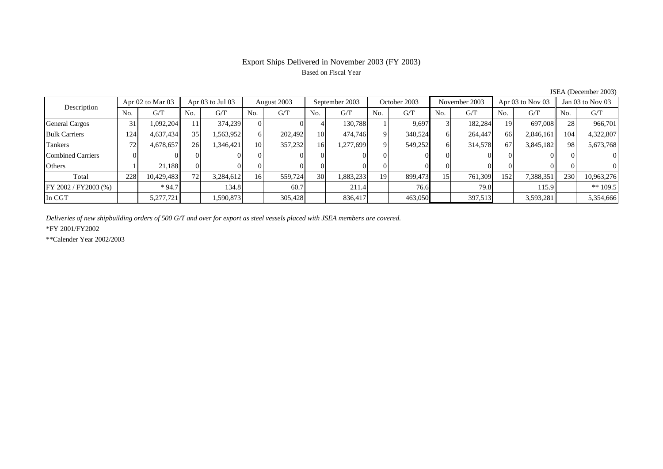## Export Ships Delivered in November 2003 (FY 2003) Based on Fiscal Year

| Description              |     | Apr $02$ to Mar $03$ | Apr $03$ to Jul $03$ |           | August 2003 |         | September 2003  |           | October 2003 |         | November 2003 |         | Apr $03$ to Nov $03$ |           | Jan 03 to Nov 03 |                |
|--------------------------|-----|----------------------|----------------------|-----------|-------------|---------|-----------------|-----------|--------------|---------|---------------|---------|----------------------|-----------|------------------|----------------|
|                          | No. | G/T                  | No.                  | G/T       | No.         | G/T     | No.             | G/T       | No.          | G/T     | No.           | G/T     | No.                  | G/T       | No.              | G/T            |
| General Cargos           | 31  | 1,092,204            |                      | 374,239   |             |         |                 | 130,788   |              | 9,697   |               | 182,284 | 19                   | 697,008   | 28               | 966,701        |
| <b>Bulk Carriers</b>     | 124 | 4,637,434            | 35 <sub>1</sub>      | .563,952  | 6           | 202,492 | 10 <sup>1</sup> | 474,746   | $\Omega$     | 340,524 | 6             | 264,447 | 66                   | 2,846,161 | 104              | 4,322,807      |
| Tankers                  | 72. | 4,678,657            | 26                   | 1,346,421 | 10          | 357,232 | 16 <sup>l</sup> | 1,277,699 | $\Omega$     | 549,252 | h.            | 314,578 | 67                   | 3,845,182 | 98               | 5,673,768      |
| <b>Combined Carriers</b> |     |                      |                      |           |             |         |                 |           |              |         |               |         | $\Omega$             |           |                  | $\overline{0}$ |
| Others                   |     | 21.188               |                      |           |             |         |                 |           |              |         |               |         |                      |           |                  | $\overline{0}$ |
| Total                    | 228 | 10,429,483           | 72                   | 3,284,612 | 16          | 559,724 | 30              | 1,883,233 | 19           | 899,473 | 15            | 761,309 | 152                  | 7,388,351 | 230              | 10,963,276     |
| FY 2002 / FY2003 (%)     |     | $*94.7$              |                      | 134.8     |             | 60.7    |                 | 211.4     |              | 76.6    |               | 79.8    |                      | 115.9     |                  | ** $109.5$     |
| In CGT                   |     | 5,277,721            |                      | .590,873  |             | 305.428 |                 | 836.417   |              | 463,050 |               | 397,513 |                      | 3,593,281 |                  | 5,354,666      |

JSEA (December 2003)

*Deliveries of new shipbuilding orders of 500 G/T and over for export as steel vessels placed with JSEA members are covered.*

\*FY 2001/FY2002

\*\*Calender Year 2002/2003